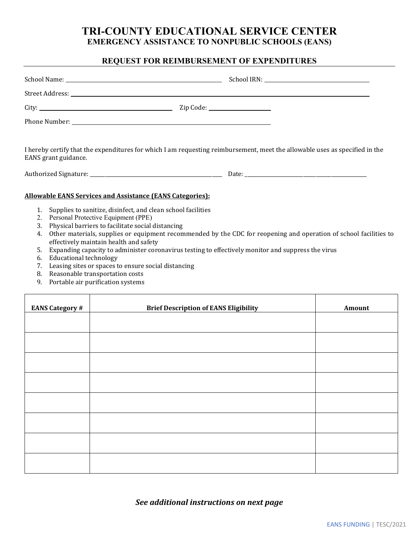## **TRI-COUNTY EDUCATIONAL SERVICE CENTER EMERGENCY ASSISTANCE TO NONPUBLIC SCHOOLS (EANS)**

## **REQUEST FOR REIMBURSEMENT OF EXPENDITURES**

| EANS grant guidance. | I hereby certify that the expenditures for which I am requesting reimbursement, meet the allowable uses as specified in the |
|----------------------|-----------------------------------------------------------------------------------------------------------------------------|

Authorized Signature: \_\_\_\_\_\_\_\_\_\_\_\_\_\_\_\_\_\_\_\_\_\_\_\_\_\_\_\_\_\_\_\_\_\_\_\_\_\_\_\_\_\_\_\_\_\_\_\_\_\_\_\_ Date: \_\_\_\_\_\_\_\_\_\_\_\_\_\_\_\_\_\_\_\_\_\_\_\_\_\_\_\_\_\_\_\_\_\_\_\_\_\_\_\_\_\_\_\_\_\_\_\_

### **Allowable EANS Services and Assistance (EANS Categories):**

- 1. Supplies to sanitize, disinfect, and clean school facilities
- 2. Personal Protective Equipment (PPE)
- 3. Physical barriers to facilitate social distancing
- 4. Other materials, supplies or equipment recommended by the CDC for reopening and operation of school facilities to effectively maintain health and safety
- 5. Expanding capacity to administer coronavirus testing to effectively monitor and suppress the virus
- 6. Educational technology
- 7. Leasing sites or spaces to ensure social distancing
- 8. Reasonable transportation costs
- 9. Portable air purification systems

| <b>EANS Category #</b> | <b>Brief Description of EANS Eligibility</b> | Amount |
|------------------------|----------------------------------------------|--------|
|                        |                                              |        |
|                        |                                              |        |
|                        |                                              |        |
|                        |                                              |        |
|                        |                                              |        |
|                        |                                              |        |
|                        |                                              |        |
|                        |                                              |        |